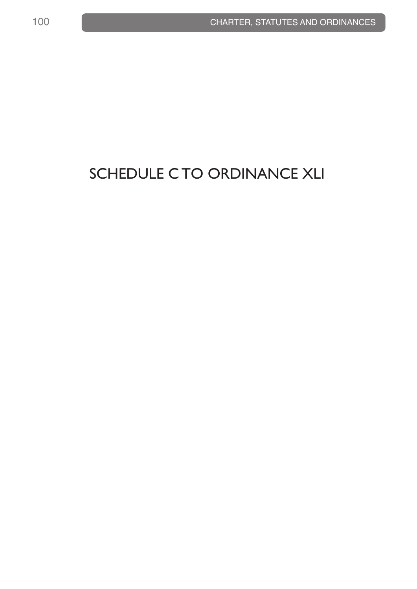## SCHEDULE C TO ORDINANCE XLI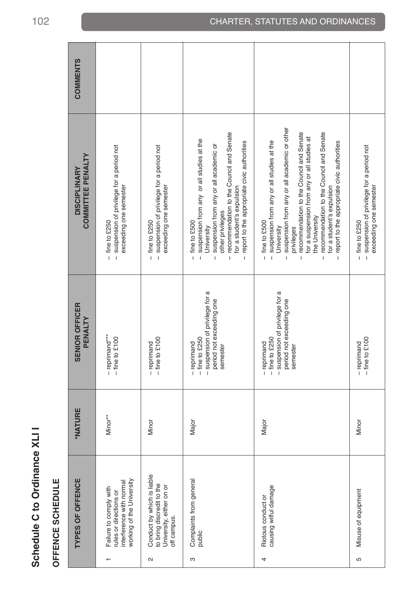| <b>COMMENTS</b>                                 |                                                                                                                        |                                                                                                                                |                                                                                                                                                                                                                                                                                                                                                                           |                                                                                                                                                                                                                                                                                                                                                                                                                                                              |                                                                                                                        |
|-------------------------------------------------|------------------------------------------------------------------------------------------------------------------------|--------------------------------------------------------------------------------------------------------------------------------|---------------------------------------------------------------------------------------------------------------------------------------------------------------------------------------------------------------------------------------------------------------------------------------------------------------------------------------------------------------------------|--------------------------------------------------------------------------------------------------------------------------------------------------------------------------------------------------------------------------------------------------------------------------------------------------------------------------------------------------------------------------------------------------------------------------------------------------------------|------------------------------------------------------------------------------------------------------------------------|
| <b>COMMITTEE PENALTY</b><br><b>DISCIPLINARY</b> | suspension of privilege for a period not<br>exceeding one semester<br>fine to £250<br>$\overline{1}$<br>$\overline{1}$ | suspension of privilege for a period not<br>exceeding one semester<br>fine to £250<br>$\mathbf{I}$<br>$\overline{\phantom{a}}$ | recommendation to the Council and Senate<br>suspension from any or all studies at the<br>report to the appropriate civic authorities<br>suspension from any or all academic or<br>for a student's expulsion<br>other privileges<br>fine to £500<br>University<br>$\overline{1}$<br>$\overline{1}$<br>$\overline{\phantom{a}}$<br>$\mathsf{I}$<br>$\overline{\phantom{a}}$ | suspension from any or all academic or other<br>recommendation to the Council and Senate<br>recommendation to the Council and Senate<br>for a suspension from any or all studies at<br>suspension from any or all studies at the<br>report to the appropriate civic authorities<br>for a student's expulsion<br>the University<br>fine to £500<br>University<br>privileges<br>$\mathbf{I}$<br>$\overline{1}$<br>$\mathbf{I}$<br>$\mathbf{I}$<br>$\mathbf{I}$ | suspension of privilege for a period not<br>exceeding one semester<br>fine to £250<br>$\overline{1}$<br>$\overline{1}$ |
| <b>SENIOR OFFICER</b><br>ENALIY<br><u>ո</u>     | - reprimand***<br>8<br>$-$ fine to $£1$                                                                                | $-$ fine to £100<br>- reprimand                                                                                                | - suspension of privilege for a<br>period not exceeding one<br>$-$ fine to £250<br>- reprimand<br>semester                                                                                                                                                                                                                                                                | - suspension of privilege for a<br>period not exceeding one<br>$-$ fine to £250<br>- reprimand<br>semester                                                                                                                                                                                                                                                                                                                                                   | $-$ fine to £100<br>- reprimand                                                                                        |
| <b>*NATURE</b>                                  | Minor**                                                                                                                | Minor                                                                                                                          | Major                                                                                                                                                                                                                                                                                                                                                                     | Major                                                                                                                                                                                                                                                                                                                                                                                                                                                        | Minor                                                                                                                  |
| <b>TYPES OF OFFENCE</b>                         | working of the University<br>interference with normal<br>Failure to comply with<br>rules or directions or              | Conduct by which is liable<br>to bring discredit to the<br>University, either on or<br>off campus.<br>$\mathbf{\sim}$          | Complaints from general<br>public<br>S                                                                                                                                                                                                                                                                                                                                    | causing wilful damage<br>Riotous conduct or<br>4                                                                                                                                                                                                                                                                                                                                                                                                             | Misuse of equipment<br>LO                                                                                              |

**Schedule C to Ordinance XLI I**

Schedule C to Ordinance XLII

**OFFENCE SCHEDULE**

OFFENCE SCHEDULE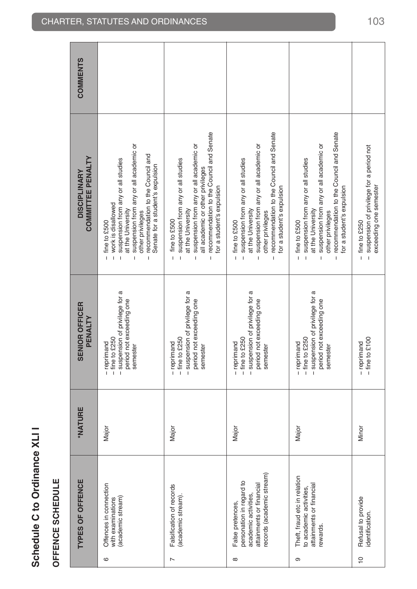## **TYPES OF OFFENCE \*NATURE SENIOR OFFICER DISCIPLINARY COMMENTS COMMENTS** - recommendation to the Council and Senate − recommendation to the Council and Senate - recommendation to the Council and Senate − recommendation to the Council and Senate - recommendation to the Council and Senate − recommendation to the Council and Senate semester − suspension from any or all academic or period not exceeding one − suspension from any or all academic or rewards. period not exceeding one − suspension from any or all academic or suspension from any or all academic or suspension from any or all academic or suspension from any or all academic or - suspension from any or all academic or attainments or financial period not exceeding one − suspension from any or all academic or identification. − fine to £100 − suspension of privilege for a period not - suspension of privilege for a period not - recommendation to the Council and<br>- recommendation to the Council and<br>Senate for a student's expulsion − recommendation to the Council and **COMMITTEE PENALTY PENALTY COMMITTEE PENALTY** - suspension from any or all studies - suspension from any or all studies - suspension from any or all studies - suspension from any or all studies (academic stream) − − suspension of privilege for a − suspension of privilege for a − suspension from any or all studies (academic stream). − suspension from any or all studies − fine to £250 − fine to £250 personation in regard to − fine to £250 − fine to £250 − suspension from any or all studies to academic activities,  $-$  fine to £250  $-$  fine to £250  $-$  suspension from any or all studies Senate for a student's expulsion all academic or other privileges semester all academic or other privileges **DISCIPLINARY** for a student's expulsion for a student's expulsion for a student's expulsion exceeding one semester exceeding one semester for a student's expulsion for a student's expulsion for a student's expulsion - work is disallowed with examinations − Fine to £250 − fine to £250 − work is disallowed at the University at the University − suspension of privilege for a at the University at the University at the University period not exceeding one at the University other privileges academic activities, and university − suspension of privilege for a at the University other privileges attainments or financial − suspension of privilege for a at the University other privileges other privileges records (academic stream) semester other privileges semester semester  $-$  fine to £500  $-$  fine to £250 10 Refusal to provide Minor − reprimand − fine to £250 fine to £500 Falsification of records Major − reprimand − fine to £500  $-$  fine to £500  $-$  fine to £500 Offences in connection αconnection − reprintance − reprintance − fine to £5000 connection − fine to £5000 connection − fine to £5000 connection − fine to £5000 connection − fine to £5000 connection − fine to £5000 connec False pretences, Major − reprimand − fine to £500 Theft, fraud etc in relation Major − reprimand − fine to £500  $\overline{1}$  $\overline{1}$ - suspension of privilege for a - suspension of privilege for a - suspension of privilege for a - suspension of privilege for a period not exceeding one period not exceeding one period not exceeding one period not exceeding one **SENIOR OFFICER** PENALTY - reprimand<br>- fine to £100  $-$  fine to £250  $-$  fine to £250  $-$  fine to  $£250$  $-$  fine to £250 - reprimand - reprimand - reprimand - reprimand semester semester semester semester **NATURE** Major Major Major Major Minor records (academic stream) Theft, fraud etc in relation **TYPES OF OFFENCE** personation in regard to attainments or financial Offences in connection attainments or financial Falsification of records to academic activities, academic activities, (academic stream) with examinations (academic stream) Refusal to provide<br>identification. False pretences, rewards. 6 $\infty$ ඉ  $\overline{C}$  $\triangleright$

**Schedule C to Ordinance XLI I**

Schedule C to Ordinance XLII

**OFFENCE SCHEDULE**

OFFENCE SCHEDULE